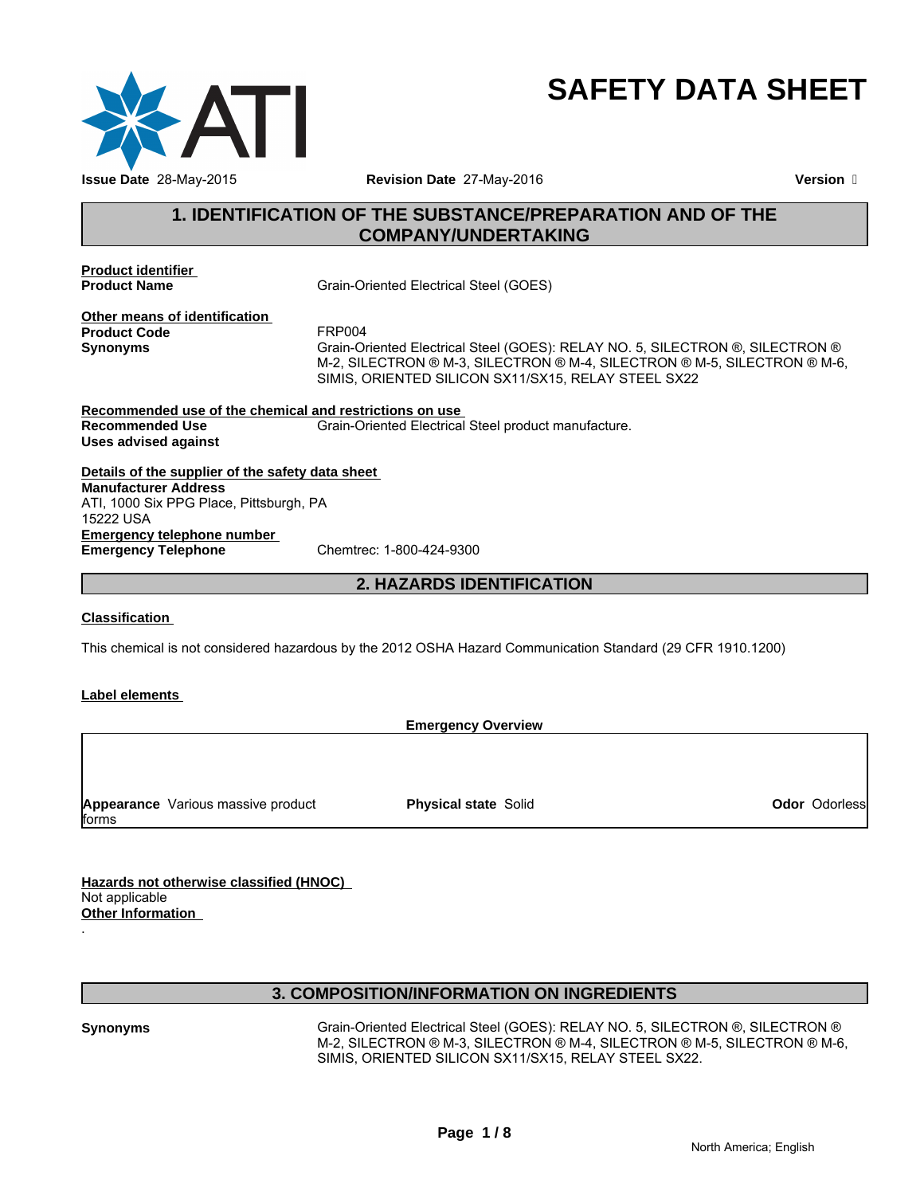

# **SAFETY DATA SHEET**

# **1. IDENTIFICATION OF THE SUBSTANCE/PREPARATION AND OF THE COMPANY/UNDERTAKING**

**Product identifier** 

**Product Name** Grain-Oriented Electrical Steel (GOES)

**Other means of identification Product Code** 

Synonyms Grain-Oriented Electrical Steel (GOES): RELAY NO. 5, SILECTRON ®, SILECTRON ® M-2, SILECTRON ® M-3, SILECTRON ® M-4, SILECTRON ® M-5, SILECTRON ® M-6, SIMIS, ORIENTED SILICON SX11/SX15, RELAY STEEL SX22

**Recommended use of the chemical and restrictions on use Recommended Use** Grain-Oriented Electrical Steel product manufacture. **Uses advised against**

**Details of the supplier of the safety data sheet Emergency telephone number<br>
Emergency Telephone** Chemtrec: 1-800-424-9300 **Emergency Telephone Manufacturer Address** ATI, 1000 Six PPG Place, Pittsburgh, PA 15222 USA

# **2. HAZARDS IDENTIFICATION**

# **Classification**

This chemical is not considered hazardous by the 2012 OSHA Hazard Communication Standard (29 CFR 1910.1200)

# **Label elements**

**Emergency Overview**

**Appearance** Various massive product forms

**Physical state** Solid

**Odor** Odorless

**Hazards not otherwise classified (HNOC)**  Not applicable **Other Information** 

# **3. COMPOSITION/INFORMATION ON INGREDIENTS**

.

**Synonyms** Grain-Oriented Electrical Steel (GOES): RELAY NO. 5, SILECTRON ®, SILECTRON ® M-2, SILECTRON ® M-3, SILECTRON ® M-4, SILECTRON ® M-5, SILECTRON ® M-6, SIMIS, ORIENTED SILICON SX11/SX15, RELAY STEEL SX22.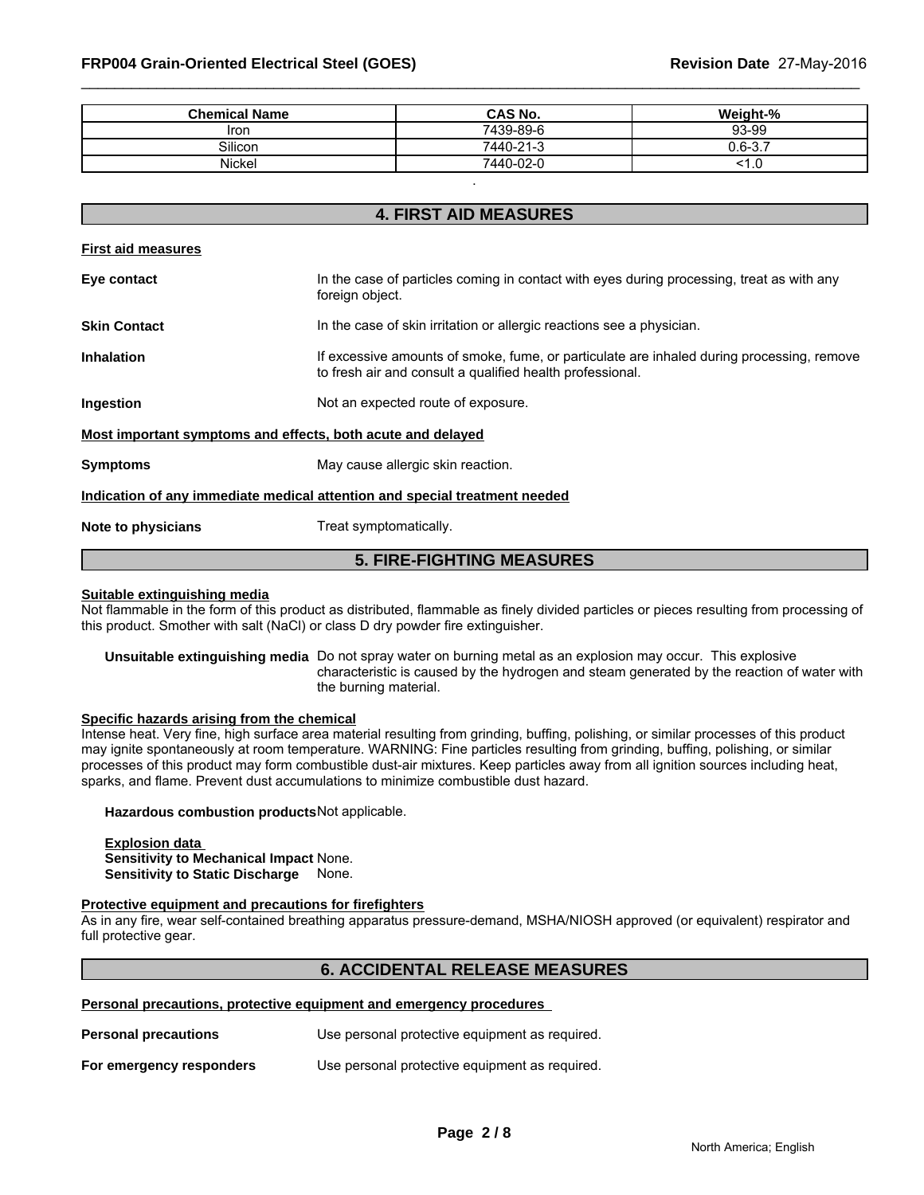| <b>Chemical Name</b> | <b>CAS No.</b> | Weight-%                     |
|----------------------|----------------|------------------------------|
| Iron                 | 7439-89-6      | 93-99                        |
| Silicon              | 7440-21-3      | $\sim$<br>-<br>$\sim$ $\sim$ |
| Nickel               | 7440-02-0      | $\cdot \cdot$                |

**4. FIRST AID MEASURES**

.

| <b>4. FIRST AID MEASURES</b> |                                                                                                                                                        |  |  |  |  |
|------------------------------|--------------------------------------------------------------------------------------------------------------------------------------------------------|--|--|--|--|
| <b>First aid measures</b>    |                                                                                                                                                        |  |  |  |  |
| Eye contact                  | In the case of particles coming in contact with eyes during processing, treat as with any<br>foreign object.                                           |  |  |  |  |
| <b>Skin Contact</b>          | In the case of skin irritation or allergic reactions see a physician.                                                                                  |  |  |  |  |
| <b>Inhalation</b>            | If excessive amounts of smoke, fume, or particulate are inhaled during processing, remove<br>to fresh air and consult a qualified health professional. |  |  |  |  |
| Ingestion                    | Not an expected route of exposure.                                                                                                                     |  |  |  |  |
|                              | Most important symptoms and effects, both acute and delayed                                                                                            |  |  |  |  |
| <b>Symptoms</b>              | May cause allergic skin reaction.                                                                                                                      |  |  |  |  |
|                              | Indication of any immediate medical attention and special treatment needed                                                                             |  |  |  |  |
| Note to physicians           | Treat symptomatically.                                                                                                                                 |  |  |  |  |
|                              |                                                                                                                                                        |  |  |  |  |

# **Suitable extinguishing media**

Not flammable in the form of this product as distributed, flammable as finely divided particles or pieces resulting from processing of this product. Smother with salt (NaCl) or class D dry powder fire extinguisher.

**5. FIRE-FIGHTING MEASURES**

**Unsuitable extinguishing media** Do not spray water on burning metal as an explosion may occur. This explosive characteristic is caused by the hydrogen and steam generated by the reaction of water with the burning material.

## **Specific hazards arising from the chemical**

Intense heat. Very fine, high surface area material resulting from grinding, buffing, polishing, or similar processes of this product may ignite spontaneously at room temperature. WARNING: Fine particles resulting from grinding, buffing, polishing, or similar processes of this product may form combustible dust-air mixtures. Keep particles away from all ignition sources including heat, sparks, and flame. Prevent dust accumulations to minimize combustible dust hazard.

#### **Hazardous combustion products**Not applicable.

**Explosion data Sensitivity to Mechanical Impact** None. **Sensitivity to Static Discharge** None.

# **Protective equipment and precautions for firefighters**

As in any fire, wear self-contained breathing apparatus pressure-demand, MSHA/NIOSH approved (or equivalent) respirator and full protective gear.

# **6. ACCIDENTAL RELEASE MEASURES**

# **Personal precautions, protective equipment and emergency procedures**

| <b>Personal precautions</b> | Use personal protective equipment as required. |
|-----------------------------|------------------------------------------------|
| For emergency responders    | Use personal protective equipment as required. |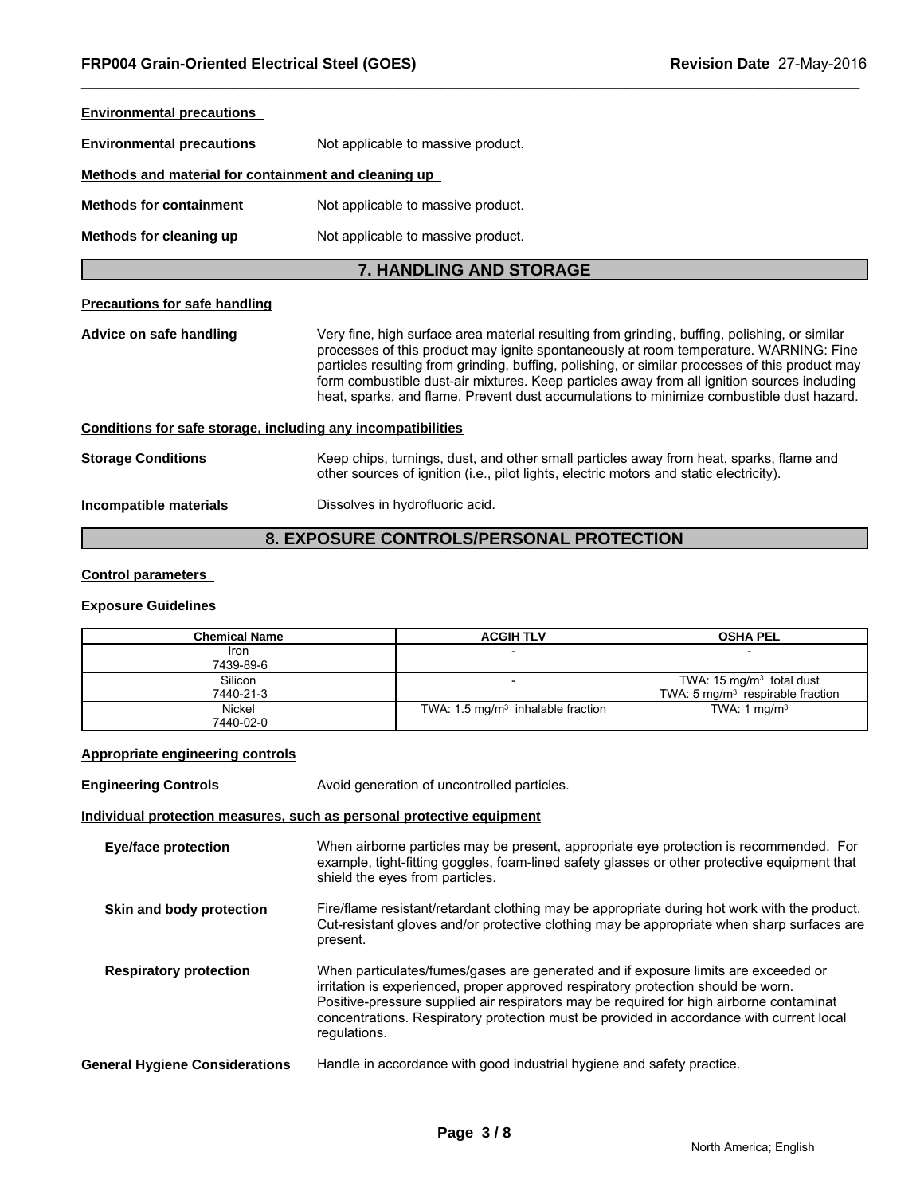| <b>Environmental precautions</b>                             |                                                                                                                                                                                                                                                                                                                                                                                                                                                                                      |
|--------------------------------------------------------------|--------------------------------------------------------------------------------------------------------------------------------------------------------------------------------------------------------------------------------------------------------------------------------------------------------------------------------------------------------------------------------------------------------------------------------------------------------------------------------------|
| <b>Environmental precautions</b>                             | Not applicable to massive product.                                                                                                                                                                                                                                                                                                                                                                                                                                                   |
| Methods and material for containment and cleaning up         |                                                                                                                                                                                                                                                                                                                                                                                                                                                                                      |
| <b>Methods for containment</b>                               | Not applicable to massive product.                                                                                                                                                                                                                                                                                                                                                                                                                                                   |
| Methods for cleaning up                                      | Not applicable to massive product.                                                                                                                                                                                                                                                                                                                                                                                                                                                   |
|                                                              | <b>7. HANDLING AND STORAGE</b>                                                                                                                                                                                                                                                                                                                                                                                                                                                       |
| <b>Precautions for safe handling</b>                         |                                                                                                                                                                                                                                                                                                                                                                                                                                                                                      |
| Advice on safe handling                                      | Very fine, high surface area material resulting from grinding, buffing, polishing, or similar<br>processes of this product may ignite spontaneously at room temperature. WARNING: Fine<br>particles resulting from grinding, buffing, polishing, or similar processes of this product may<br>form combustible dust-air mixtures. Keep particles away from all ignition sources including<br>heat, sparks, and flame. Prevent dust accumulations to minimize combustible dust hazard. |
| Conditions for safe storage, including any incompatibilities |                                                                                                                                                                                                                                                                                                                                                                                                                                                                                      |
| <b>Storage Conditions</b>                                    | Keep chips, turnings, dust, and other small particles away from heat, sparks, flame and<br>other sources of ignition (i.e., pilot lights, electric motors and static electricity).                                                                                                                                                                                                                                                                                                   |
| Incompatible materials                                       | Dissolves in hydrofluoric acid.                                                                                                                                                                                                                                                                                                                                                                                                                                                      |
|                                                              |                                                                                                                                                                                                                                                                                                                                                                                                                                                                                      |

# **8. EXPOSURE CONTROLS/PERSONAL PROTECTION**

# **Control parameters**

# **Exposure Guidelines**

| Chemical Name        | <b>ACGIH TLV</b>                             | <b>OSHA PEL</b>                                                           |
|----------------------|----------------------------------------------|---------------------------------------------------------------------------|
| Iron<br>7439-89-6    |                                              |                                                                           |
| Silicon<br>7440-21-3 |                                              | TWA: $15 \text{ mg/m}^3$ total dust<br>TWA: 5 $mq/m3$ respirable fraction |
| Nickel<br>7440-02-0  | TWA: $1.5 \text{ mg/m}^3$ inhalable fraction | TWA: 1 mg/m <sup>3</sup>                                                  |

# **Appropriate engineering controls**

| <b>Engineering Controls</b>           | Avoid generation of uncontrolled particles.                                                                                                                                                                                                                                                                                                                                    |
|---------------------------------------|--------------------------------------------------------------------------------------------------------------------------------------------------------------------------------------------------------------------------------------------------------------------------------------------------------------------------------------------------------------------------------|
|                                       | Individual protection measures, such as personal protective equipment                                                                                                                                                                                                                                                                                                          |
| <b>Eye/face protection</b>            | When airborne particles may be present, appropriate eye protection is recommended. For<br>example, tight-fitting goggles, foam-lined safety glasses or other protective equipment that<br>shield the eyes from particles.                                                                                                                                                      |
| Skin and body protection              | Fire/flame resistant/retardant clothing may be appropriate during hot work with the product.<br>Cut-resistant gloves and/or protective clothing may be appropriate when sharp surfaces are<br>present.                                                                                                                                                                         |
| <b>Respiratory protection</b>         | When particulates/fumes/gases are generated and if exposure limits are exceeded or<br>irritation is experienced, proper approved respiratory protection should be worn.<br>Positive-pressure supplied air respirators may be required for high airborne contaminat<br>concentrations. Respiratory protection must be provided in accordance with current local<br>regulations. |
| <b>General Hygiene Considerations</b> | Handle in accordance with good industrial hygiene and safety practice.                                                                                                                                                                                                                                                                                                         |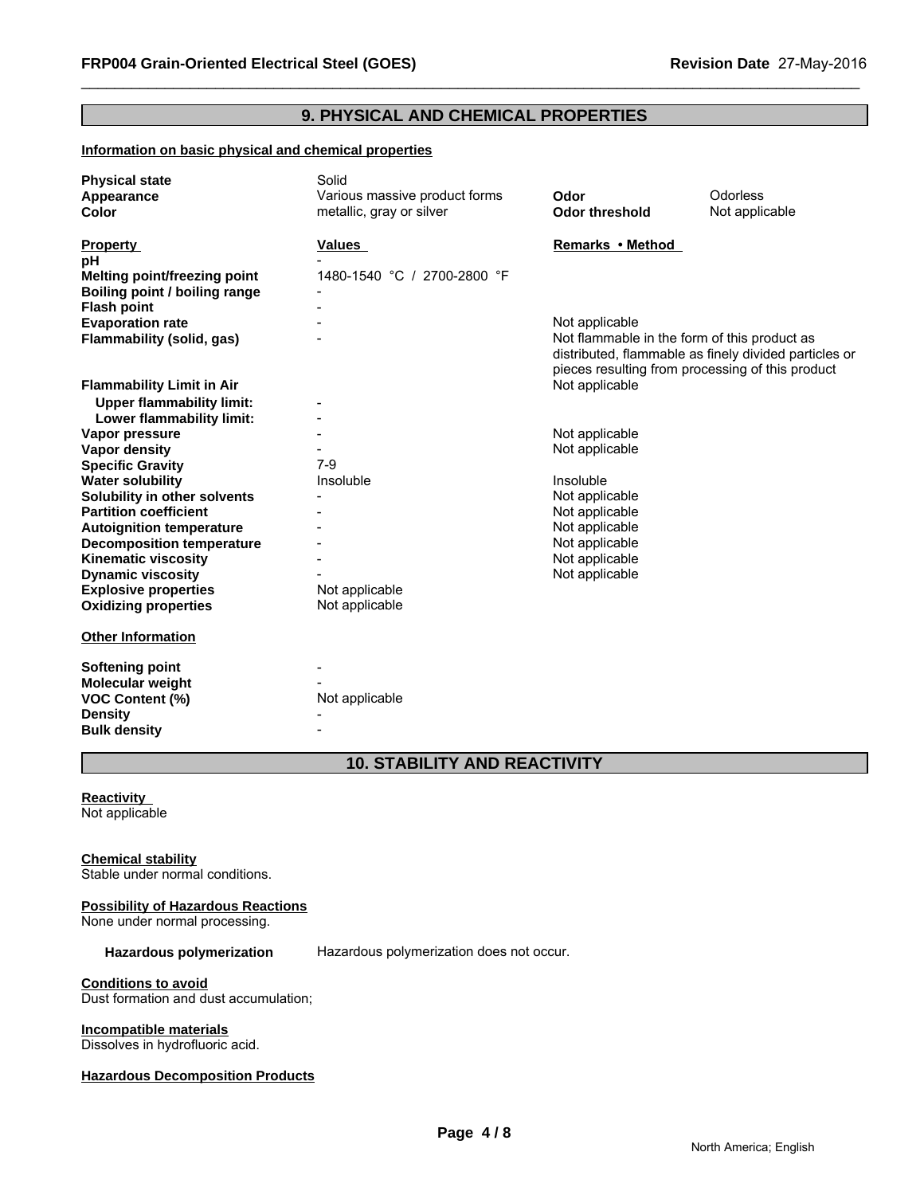# **9. PHYSICAL AND CHEMICAL PROPERTIES**

# **Information on basic physical and chemical properties**

| <b>Physical state</b>               | Solid                         |                       |                                                                                                                                                           |
|-------------------------------------|-------------------------------|-----------------------|-----------------------------------------------------------------------------------------------------------------------------------------------------------|
| Appearance                          | Various massive product forms | Odor                  | Odorless                                                                                                                                                  |
| Color                               | metallic, gray or silver      | <b>Odor threshold</b> | Not applicable                                                                                                                                            |
| <b>Property</b>                     | Values                        | Remarks • Method      |                                                                                                                                                           |
| рH                                  |                               |                       |                                                                                                                                                           |
| <b>Melting point/freezing point</b> | 1480-1540 °C / 2700-2800 °F   |                       |                                                                                                                                                           |
| Boiling point / boiling range       |                               |                       |                                                                                                                                                           |
| <b>Flash point</b>                  |                               |                       |                                                                                                                                                           |
| <b>Evaporation rate</b>             |                               | Not applicable        |                                                                                                                                                           |
| Flammability (solid, gas)           |                               |                       | Not flammable in the form of this product as<br>distributed, flammable as finely divided particles or<br>pieces resulting from processing of this product |
| <b>Flammability Limit in Air</b>    |                               | Not applicable        |                                                                                                                                                           |
| <b>Upper flammability limit:</b>    |                               |                       |                                                                                                                                                           |
| Lower flammability limit:           |                               |                       |                                                                                                                                                           |
| Vapor pressure                      |                               | Not applicable        |                                                                                                                                                           |
| <b>Vapor density</b>                |                               | Not applicable        |                                                                                                                                                           |
| <b>Specific Gravity</b>             | $7-9$                         |                       |                                                                                                                                                           |
| <b>Water solubility</b>             | Insoluble                     | Insoluble             |                                                                                                                                                           |
| Solubility in other solvents        |                               | Not applicable        |                                                                                                                                                           |
| <b>Partition coefficient</b>        |                               | Not applicable        |                                                                                                                                                           |
| <b>Autoignition temperature</b>     |                               | Not applicable        |                                                                                                                                                           |
| <b>Decomposition temperature</b>    |                               | Not applicable        |                                                                                                                                                           |
| <b>Kinematic viscosity</b>          |                               | Not applicable        |                                                                                                                                                           |
| <b>Dynamic viscosity</b>            |                               | Not applicable        |                                                                                                                                                           |
| <b>Explosive properties</b>         | Not applicable                |                       |                                                                                                                                                           |
| <b>Oxidizing properties</b>         | Not applicable                |                       |                                                                                                                                                           |
| <b>Other Information</b>            |                               |                       |                                                                                                                                                           |
| <b>Softening point</b>              |                               |                       |                                                                                                                                                           |
| Molecular weight                    |                               |                       |                                                                                                                                                           |
| <b>VOC Content (%)</b>              | Not applicable                |                       |                                                                                                                                                           |
| <b>Density</b>                      |                               |                       |                                                                                                                                                           |
| <b>Bulk density</b>                 |                               |                       |                                                                                                                                                           |

# **10. STABILITY AND REACTIVITY**

# **Reactivity**  Not applicable

# **Chemical stability**

Stable under normal conditions.

# **Possibility of Hazardous Reactions**

None under normal processing.

Hazardous polymerization Hazardous polymerization does not occur.

#### **Conditions to avoid**

Dust formation and dust accumulation;

# **Incompatible materials**

Dissolves in hydrofluoric acid.

#### **Hazardous Decomposition Products**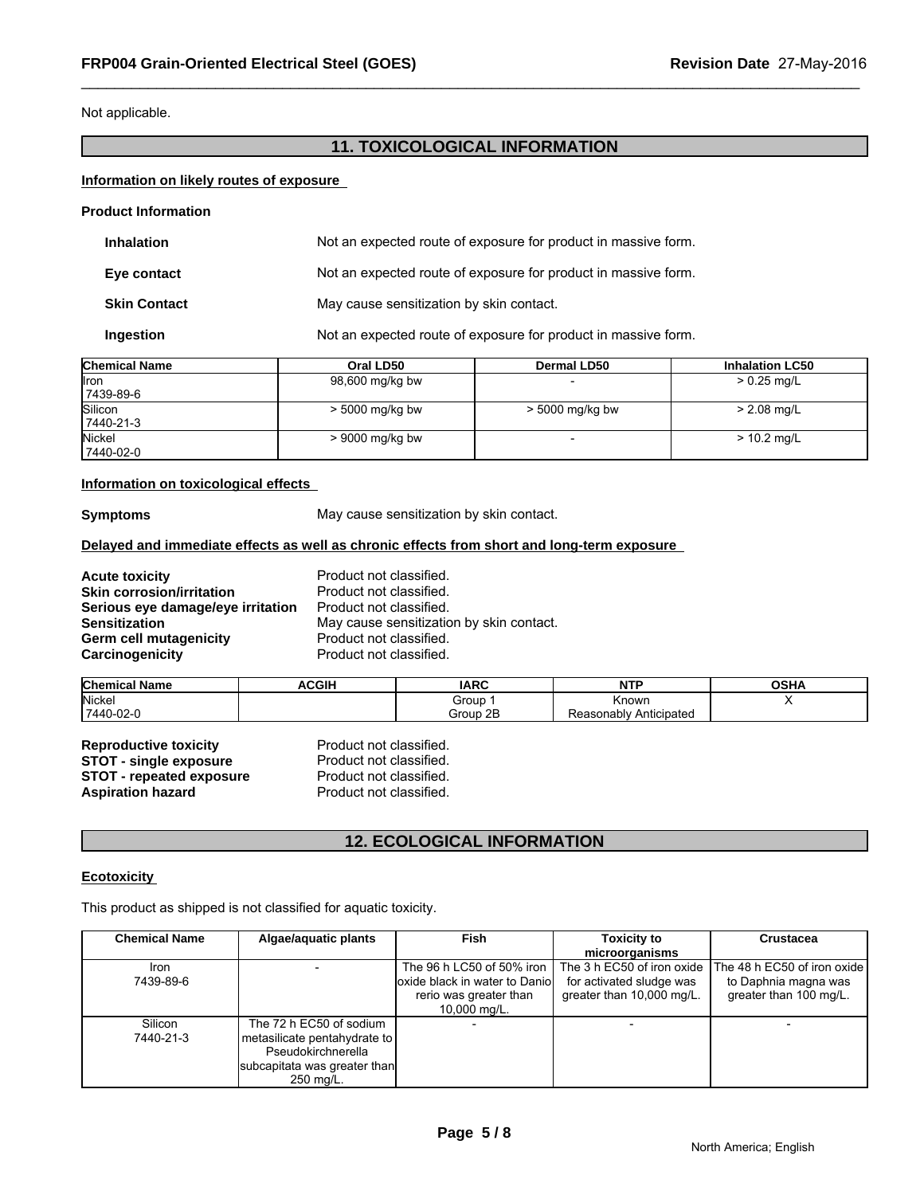Not applicable.

# **11. TOXICOLOGICAL INFORMATION**

# **Information on likely routes of exposure**

| <b>Product Information</b> |                                                                |
|----------------------------|----------------------------------------------------------------|
| <b>Inhalation</b>          | Not an expected route of exposure for product in massive form. |
| Eye contact                | Not an expected route of exposure for product in massive form. |
| <b>Skin Contact</b>        | May cause sensitization by skin contact.                       |
| Ingestion                  | Not an expected route of exposure for product in massive form. |

| <b>Chemical Name</b> | Oral LD50       | Dermal LD50       | <b>Inhalation LC50</b> |
|----------------------|-----------------|-------------------|------------------------|
| <b>I</b> ron         | 98,600 mg/kg bw |                   | $> 0.25$ mg/L          |
| 7439-89-6            |                 |                   |                        |
| Silicon              | > 5000 mg/kg bw | $>$ 5000 mg/kg bw | $> 2.08$ mg/L          |
| 7440-21-3            |                 |                   |                        |
| Nickel               | > 9000 mg/kg bw |                   | $> 10.2$ mg/L          |
| 7440-02-0            |                 |                   |                        |

# **Information on toxicological effects**

**Symptoms** May cause sensitization by skin contact.

# **Delayed and immediate effects as well as chronic effects from short and long-term exposure**

**Acute toxicity**<br> **Acute toxicity**<br> **Skin corrosion/irritation**<br> **Product not classified. Skin corrosion/irritation**<br>**Serious eye damage/eye irritation** Product not classified. **Serious eye damage/eye irritation<br>Sensitization Germ cell mutagenicity example 10 Product not classified.**<br> **Carcinogenicity** example Product not classified. **Carcinogenicity** 

May cause sensitization by skin contact.<br>Product not classified.

| <b>Chemical Name</b> | ACGIF | <b>IARC</b>        | NIT'                                | $\sim$ u<br>יוסט |
|----------------------|-------|--------------------|-------------------------------------|------------------|
| Nickel               |       | Group              | Known                               | . .              |
| 7440-02-0            |       | $\sim$<br>Group 2B | Anticipated<br>asonablv<br>◡<br>₹eε |                  |

**Reproductive toxicity** Product not classified. **STOT - single exposure** Product not classified. **STOT - repeated exposure** Product not classified.<br> **Aspiration hazard** Product not classified. **Aspiration hazard** 

# **12. ECOLOGICAL INFORMATION**

# **Ecotoxicity**

This product as shipped is not classified for aquatic toxicity.

| <b>Chemical Name</b> | Algae/aquatic plants         | <b>Fish</b>                     | <b>Toxicity to</b>        | <b>Crustacea</b>                                       |
|----------------------|------------------------------|---------------------------------|---------------------------|--------------------------------------------------------|
|                      |                              |                                 | microorganisms            |                                                        |
| <b>Iron</b>          |                              | The 96 h LC50 of 50% iron       |                           | The 3 h EC50 of iron oxide The 48 h EC50 of iron oxide |
| 7439-89-6            |                              | loxide black in water to Daniol | for activated sludge was  | to Daphnia magna was                                   |
|                      |                              | rerio was greater than          | greater than 10,000 mg/L. | greater than 100 mg/L.                                 |
|                      |                              | 10,000 mg/L.                    |                           |                                                        |
| Silicon              | The 72 h EC50 of sodium      |                                 |                           |                                                        |
| 7440-21-3            | metasilicate pentahydrate to |                                 |                           |                                                        |
|                      | Pseudokirchnerella           |                                 |                           |                                                        |
|                      | subcapitata was greater than |                                 |                           |                                                        |
|                      | 250 mg/L.                    |                                 |                           |                                                        |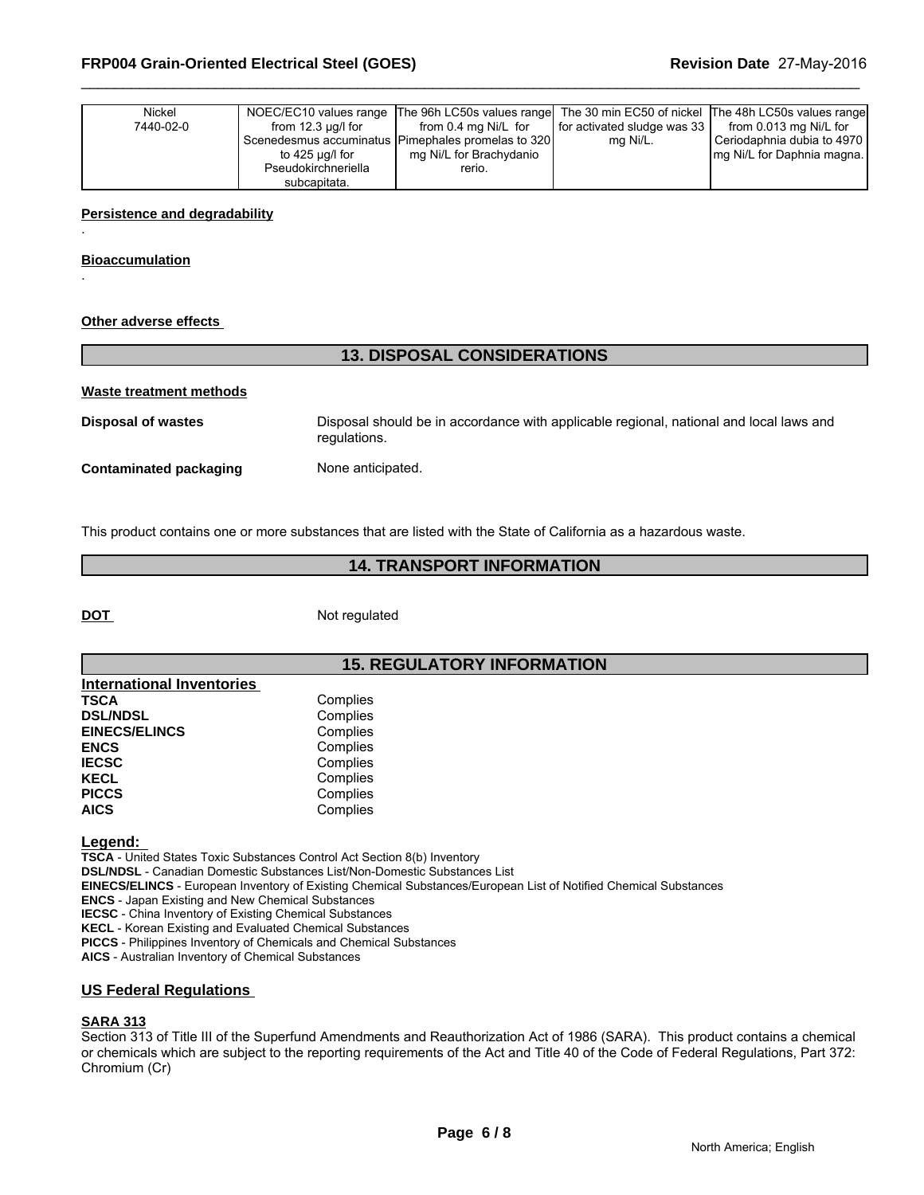| Nickel    |                         | NOEC/EC10 values range The 96h LC50s values range The 30 min EC50 of nickel The 48h LC50s values range |                             |                             |  |
|-----------|-------------------------|--------------------------------------------------------------------------------------------------------|-----------------------------|-----------------------------|--|
| 7440-02-0 | from $12.3 \mu q/l$ for | from 0.4 mg Ni/L for                                                                                   | for activated sludge was 33 | from 0.013 mg Ni/L for      |  |
|           |                         | Scenedesmus accuminatus Pimephales promelas to 320                                                     | mg Ni/L.                    | Ceriodaphnia dubia to 4970  |  |
|           | to 425 µg/l for         | mg Ni/L for Brachydanio                                                                                |                             | Img Ni/L for Daphnia magna. |  |
|           | Pseudokirchneriella     | rerio.                                                                                                 |                             |                             |  |
|           | subcapitata.            |                                                                                                        |                             |                             |  |

### **Persistence and degradability**

**Bioaccumulation**

.

.

# **Other adverse effects**

# **13. DISPOSAL CONSIDERATIONS**

#### **Waste treatment methods**

**Disposal of wastes** Disposal should be in accordance with applicable regional, national and local laws and regulations.

**Contaminated packaging Mone anticipated.** 

This product contains one or more substances that are listed with the State of California as a hazardous waste.

# **14. TRANSPORT INFORMATION**

**DOT** Not regulated

# **15. REGULATORY INFORMATION**

| <b>International Inventories</b> |          |  |
|----------------------------------|----------|--|
| <b>TSCA</b>                      | Complies |  |
| <b>DSL/NDSL</b>                  | Complies |  |
| <b>EINECS/ELINCS</b>             | Complies |  |
| <b>ENCS</b>                      | Complies |  |
| <b>IECSC</b>                     | Complies |  |
| <b>KECL</b>                      | Complies |  |
| <b>PICCS</b>                     | Complies |  |
| <b>AICS</b>                      | Complies |  |

**Legend:** 

**TSCA** - United States Toxic Substances Control Act Section 8(b) Inventory

**DSL/NDSL** - Canadian Domestic Substances List/Non-Domestic Substances List

**EINECS/ELINCS** - European Inventory of Existing Chemical Substances/European List of Notified Chemical Substances

**ENCS** - Japan Existing and New Chemical Substances

**IECSC** - China Inventory of Existing Chemical Substances

**KECL** - Korean Existing and Evaluated Chemical Substances

**PICCS** - Philippines Inventory of Chemicals and Chemical Substances

**AICS** - Australian Inventory of Chemical Substances

# **US Federal Regulations**

# **SARA 313**

Section 313 of Title III of the Superfund Amendments and Reauthorization Act of 1986 (SARA). This product contains a chemical or chemicals which are subject to the reporting requirements of the Act and Title 40 of the Code of Federal Regulations, Part 372: Chromium (Cr)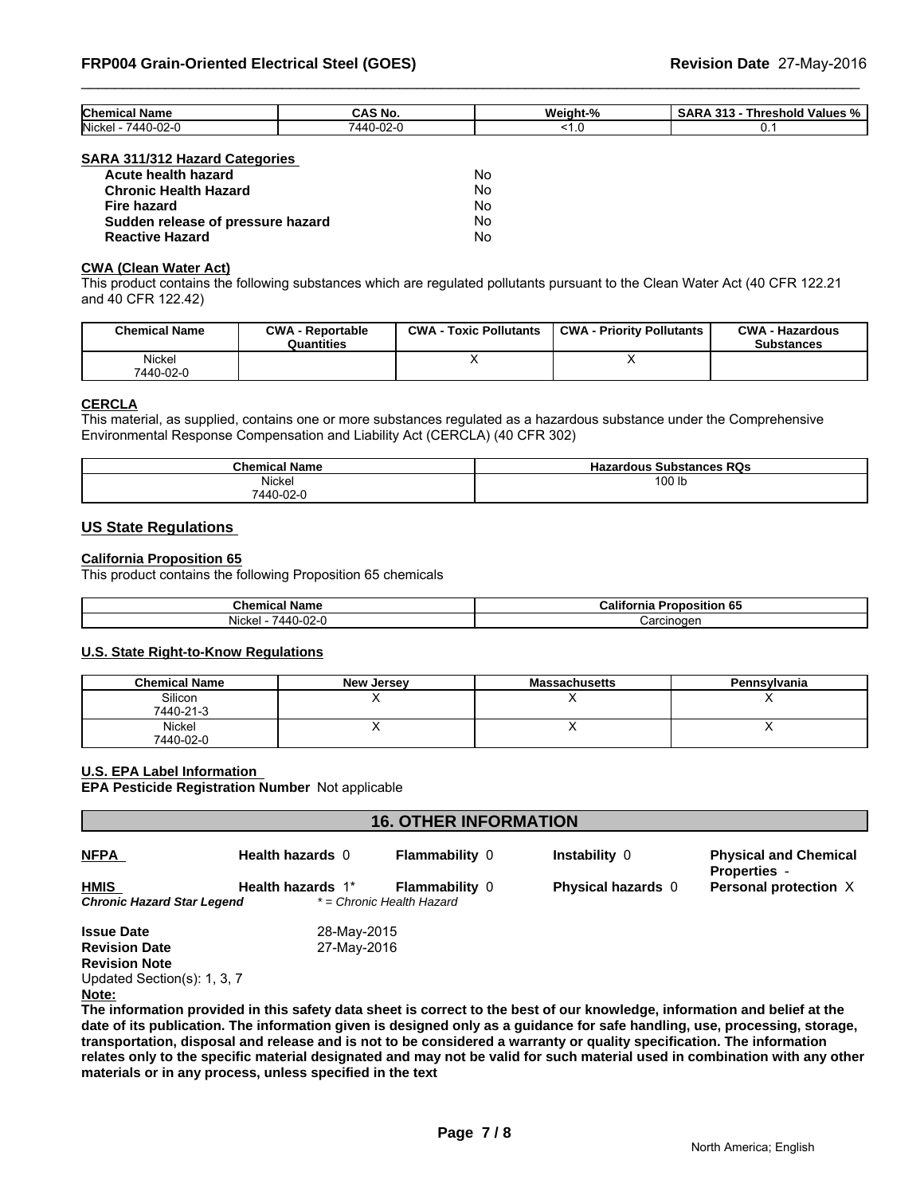| <b>Chemical</b><br>' Name  | CAS No.                               | Weight-<br>$\mathbf{a}$<br>,,, | - -<br><br>-<br><b>Threshold</b><br><b>Values</b><br>- 70<br>. |
|----------------------------|---------------------------------------|--------------------------------|----------------------------------------------------------------|
| Nickel<br>uz-u<br>.<br>. . | . ററ<br>$\Delta\Delta\Gamma$<br>' ⊡∪∠ |                                |                                                                |

#### **SARA 311/312 Hazard Categories**

| Acute health hazard               | No |
|-----------------------------------|----|
| <b>Chronic Health Hazard</b>      | No |
| Fire hazard                       | N٥ |
| Sudden release of pressure hazard | No |
| <b>Reactive Hazard</b>            | No |

#### **CWA (Clean Water Act)**

This product contains the following substances which are regulated pollutants pursuant to the Clean Water Act (40 CFR 122.21 and 40 CFR 122.42)

| <b>Chemical Name</b> | <b>CWA - Reportable</b><br>Quantities | CWA -<br><b>Toxic Pollutants</b> | <b>CWA - Priority Pollutants</b> | <b>CWA - Hazardous</b><br><b>Substances</b> |
|----------------------|---------------------------------------|----------------------------------|----------------------------------|---------------------------------------------|
| Nickel<br>7440-02-0  |                                       |                                  | $\cdot$                          |                                             |

# **CERCLA**

This material, as supplied, contains one or more substances regulated as a hazardous substance under the Comprehensive Environmental Response Compensation and Liability Act (CERCLA) (40 CFR 302)

| <b>Chemical Name</b> | Hazardous,<br>∙ RQs<br>: Substances |
|----------------------|-------------------------------------|
| Nickel               | 100 lb                              |
| 7440-02-0            |                                     |

# **US State Regulations**

# **California Proposition 65**

This product contains the following Proposition 65 chemicals

| Chemical<br>Name            | Califor<br><br><br>$-2$ $ -$<br>roposition 65'<br>mr |
|-----------------------------|------------------------------------------------------|
| .<br>$\sim$<br>Nicke<br>JZ- | `aroinoqon<br>ю<br>.                                 |

# **U.S. State Right-to-Know Regulations**

| <b>Chemical Name</b> | <b>New Jersey</b> | <b>Massachusetts</b> | Pennsylvania |
|----------------------|-------------------|----------------------|--------------|
| Silicon<br>7440-21-3 |                   |                      |              |
| Nickel<br>7440-02-0  |                   |                      | . .          |

#### **U.S. EPA Label Information**

**EPA Pesticide Registration Number** Not applicable

| <b>16. OTHER INFORMATION</b>              |                   |                                                    |                    |                                                     |
|-------------------------------------------|-------------------|----------------------------------------------------|--------------------|-----------------------------------------------------|
| <b>NFPA</b>                               | Health hazards 0  | <b>Flammability 0</b>                              | Instability 0      | <b>Physical and Chemical</b><br><b>Properties</b> - |
| <b>HMIS</b><br>Chronic Hazard Star Legend | Health hazards 1* | <b>Flammability 0</b><br>* = Chronic Health Hazard | Physical hazards 0 | Personal protection X                               |
| <b>Issue Date</b>                         | 28-May-2015       |                                                    |                    |                                                     |
| <b>Revision Date</b>                      | 27-May-2016       |                                                    |                    |                                                     |
| <b>Revision Note</b>                      |                   |                                                    |                    |                                                     |
| Updated Section(s): 1, 3, 7               |                   |                                                    |                    |                                                     |
| Note:                                     |                   |                                                    |                    |                                                     |
|                                           | .<br>.            |                                                    |                    |                                                     |

**The information provided in this safety data sheet is correct to the best of our knowledge, information and belief at the date of its publication. The information given is designed only as a guidance for safe handling, use, processing, storage, transportation, disposal and release and is not to be considered a warranty or quality specification. The information relates only to the specific material designated and may not be valid for such material used in combination with any other materials or in any process, unless specified in the text**